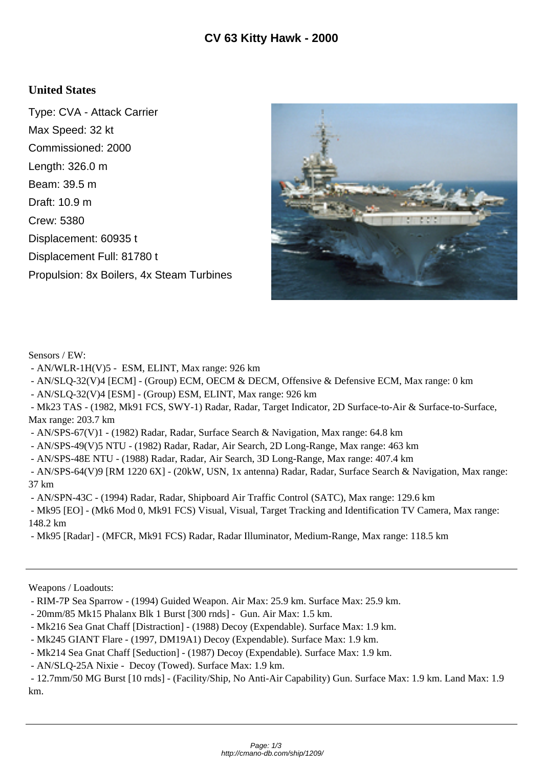## **United States**

Type: CVA - Attack Carrier Max Speed: 32 kt Commissioned: 2000 Length: 326.0 m Beam: 39.5 m Draft: 10.9 m Crew: 5380 Displacement: 60935 t Displacement Full: 81780 t Propulsion: 8x Boilers, 4x Steam Turbines



Sensors / EW:

- AN/WLR-1H(V)5 - ESM, ELINT, Max range: 926 km

- AN/SLQ-32(V)4 [ECM] - (Group) ECM, OECM & DECM, Offensive & Defensive ECM, Max range: 0 km

- AN/SLQ-32(V)4 [ESM] - (Group) ESM, ELINT, Max range: 926 km

 - Mk23 TAS - (1982, Mk91 FCS, SWY-1) Radar, Radar, Target Indicator, 2D Surface-to-Air & Surface-to-Surface, Max range: 203.7 km

- AN/SPS-67(V)1 - (1982) Radar, Radar, Surface Search & Navigation, Max range: 64.8 km

- AN/SPS-49(V)5 NTU - (1982) Radar, Radar, Air Search, 2D Long-Range, Max range: 463 km

- AN/SPS-48E NTU - (1988) Radar, Radar, Air Search, 3D Long-Range, Max range: 407.4 km

 - AN/SPS-64(V)9 [RM 1220 6X] - (20kW, USN, 1x antenna) Radar, Radar, Surface Search & Navigation, Max range: 37 km

- AN/SPN-43C - (1994) Radar, Radar, Shipboard Air Traffic Control (SATC), Max range: 129.6 km

 - Mk95 [EO] - (Mk6 Mod 0, Mk91 FCS) Visual, Visual, Target Tracking and Identification TV Camera, Max range: 148.2 km

- Mk95 [Radar] - (MFCR, Mk91 FCS) Radar, Radar Illuminator, Medium-Range, Max range: 118.5 km

Weapons / Loadouts:

- 20mm/85 Mk15 Phalanx Blk 1 Burst [300 rnds] Gun. Air Max: 1.5 km.
- Mk216 Sea Gnat Chaff [Distraction] (1988) Decoy (Expendable). Surface Max: 1.9 km.
- Mk245 GIANT Flare (1997, DM19A1) Decoy (Expendable). Surface Max: 1.9 km.
- Mk214 Sea Gnat Chaff [Seduction] (1987) Decoy (Expendable). Surface Max: 1.9 km.

- AN/SLQ-25A Nixie - Decoy (Towed). Surface Max: 1.9 km.

 - 12.7mm/50 MG Burst [10 rnds] - (Facility/Ship, No Anti-Air Capability) Gun. Surface Max: 1.9 km. Land Max: 1.9 km.

 <sup>-</sup> RIM-7P Sea Sparrow - (1994) Guided Weapon. Air Max: 25.9 km. Surface Max: 25.9 km.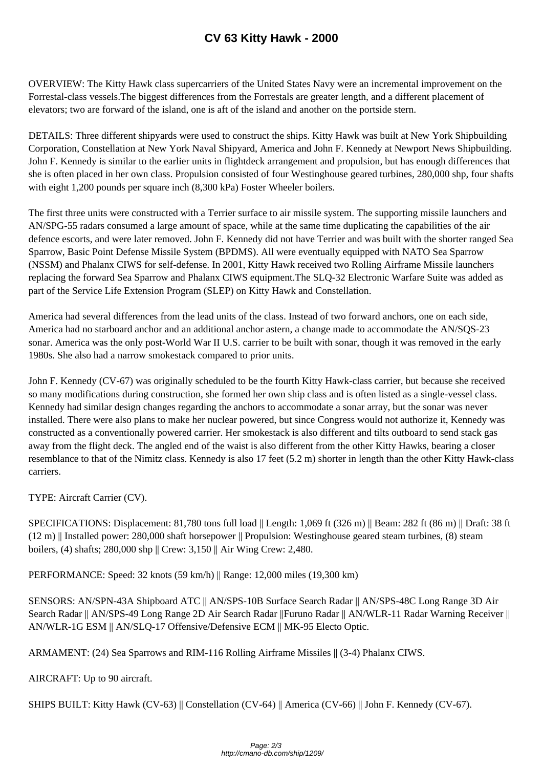OVERVIEW: The Kitty Hawk class superc[arriers of the United States Navy w](http://cmano-db.com/ship/1209/)ere an incremental improvement on the Forrestal-class vessels.The biggest differences from the Forrestals are greater length, and a different placement of elevators; two are forward of the island, one is aft of the island and another on the portside stern.

DETAILS: Three different shipyards were used to construct the ships. Kitty Hawk was built at New York Shipbuilding Corporation, Constellation at New York Naval Shipyard, America and John F. Kennedy at Newport News Shipbuilding. John F. Kennedy is similar to the earlier units in flightdeck arrangement and propulsion, but has enough differences that she is often placed in her own class. Propulsion consisted of four Westinghouse geared turbines, 280,000 shp, four shafts with eight 1,200 pounds per square inch (8,300 kPa) Foster Wheeler boilers.

The first three units were constructed with a Terrier surface to air missile system. The supporting missile launchers and AN/SPG-55 radars consumed a large amount of space, while at the same time duplicating the capabilities of the air defence escorts, and were later removed. John F. Kennedy did not have Terrier and was built with the shorter ranged Sea Sparrow, Basic Point Defense Missile System (BPDMS). All were eventually equipped with NATO Sea Sparrow (NSSM) and Phalanx CIWS for self-defense. In 2001, Kitty Hawk received two Rolling Airframe Missile launchers replacing the forward Sea Sparrow and Phalanx CIWS equipment.The SLQ-32 Electronic Warfare Suite was added as part of the Service Life Extension Program (SLEP) on Kitty Hawk and Constellation.

America had several differences from the lead units of the class. Instead of two forward anchors, one on each side, America had no starboard anchor and an additional anchor astern, a change made to accommodate the AN/SQS-23 sonar. America was the only post-World War II U.S. carrier to be built with sonar, though it was removed in the early 1980s. She also had a narrow smokestack compared to prior units.

John F. Kennedy (CV-67) was originally scheduled to be the fourth Kitty Hawk-class carrier, but because she received so many modifications during construction, she formed her own ship class and is often listed as a single-vessel class. Kennedy had similar design changes regarding the anchors to accommodate a sonar array, but the sonar was never installed. There were also plans to make her nuclear powered, but since Congress would not authorize it, Kennedy was constructed as a conventionally powered carrier. Her smokestack is also different and tilts outboard to send stack gas away from the flight deck. The angled end of the waist is also different from the other Kitty Hawks, bearing a closer resemblance to that of the Nimitz class. Kennedy is also 17 feet (5.2 m) shorter in length than the other Kitty Hawk-class carriers.

TYPE: Aircraft Carrier (CV).

SPECIFICATIONS: Displacement: 81,780 tons full load || Length: 1,069 ft (326 m) || Beam: 282 ft (86 m) || Draft: 38 ft (12 m) || Installed power: 280,000 shaft horsepower || Propulsion: Westinghouse geared steam turbines, (8) steam boilers, (4) shafts; 280,000 shp || Crew: 3,150 || Air Wing Crew: 2,480.

PERFORMANCE: Speed: 32 knots (59 km/h) || Range: 12,000 miles (19,300 km)

SENSORS: AN/SPN-43A Shipboard ATC || AN/SPS-10B Surface Search Radar || AN/SPS-48C Long Range 3D Air Search Radar || AN/SPS-49 Long Range 2D Air Search Radar ||Furuno Radar || AN/WLR-11 Radar Warning Receiver || AN/WLR-1G ESM || AN/SLQ-17 Offensive/Defensive ECM || MK-95 Electo Optic.

ARMAMENT: (24) Sea Sparrows and RIM-116 Rolling Airframe Missiles || (3-4) Phalanx CIWS.

AIRCRAFT: Up to 90 aircraft.

SHIPS BUILT: Kitty Hawk (CV-63) || Constellation (CV-64) || America (CV-66) || John F. Kennedy (CV-67).